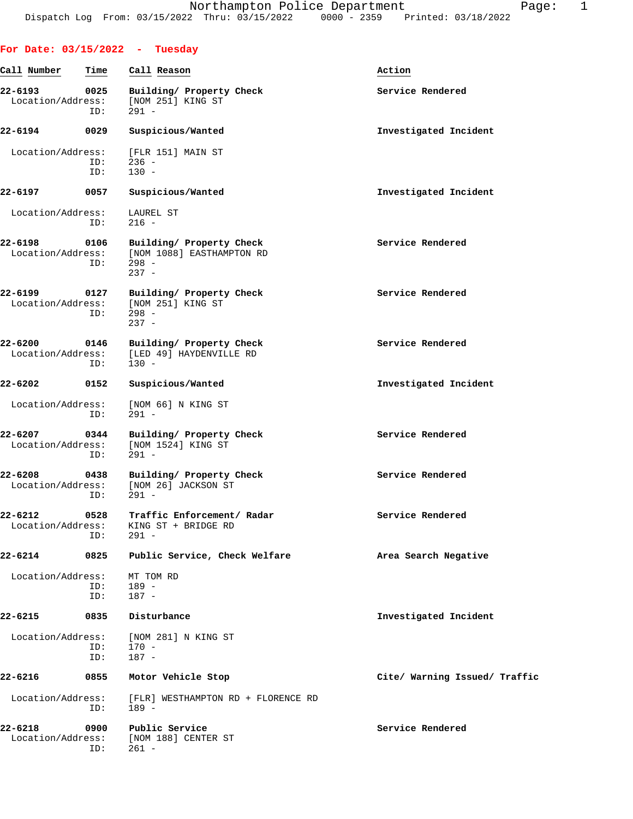|                                  |             | For Date: $03/15/2022 - Tuesday$                                            |                               |
|----------------------------------|-------------|-----------------------------------------------------------------------------|-------------------------------|
| Call Number                      | Time        | Call Reason                                                                 | Action                        |
| 22-6193<br>Location/Address:     | 0025<br>ID: | Building/ Property Check<br>[NOM 251] KING ST<br>$291 -$                    | Service Rendered              |
| 22-6194                          | 0029        | Suspicious/Wanted                                                           | Investigated Incident         |
| Location/Address:                | ID:<br>ID:  | [FLR 151] MAIN ST<br>$236 -$<br>$130 -$                                     |                               |
| $22 - 6197$                      | 0057        | Suspicious/Wanted                                                           | Investigated Incident         |
| Location/Address:                | ID:         | LAUREL ST<br>$216 -$                                                        |                               |
| 22-6198<br>Location/Address:     | 0106<br>ID: | Building/ Property Check<br>[NOM 1088] EASTHAMPTON RD<br>$298 -$<br>$237 -$ | Service Rendered              |
| 22-6199<br>Location/Address:     | 0127<br>ID: | Building/ Property Check<br>[NOM 251] KING ST<br>$298 -$<br>$237 -$         | Service Rendered              |
| 22-6200<br>Location/Address:     | 0146<br>ID: | Building/ Property Check<br>[LED 49] HAYDENVILLE RD<br>$130 -$              | Service Rendered              |
| 22-6202                          | 0152        | Suspicious/Wanted                                                           | Investigated Incident         |
| Location/Address:                | ID:         | [NOM 66] N KING ST<br>$291 -$                                               |                               |
| 22-6207<br>Location/Address:     | 0344<br>ID: | Building/ Property Check<br>[NOM 1524] KING ST<br>$291 -$                   | Service Rendered              |
| 22-6208<br>Location/Address:     | 0438<br>ID: | Building/ Property Check<br>[NOM 26] JACKSON ST<br>$291 -$                  | Service Rendered              |
| $22 - 6212$<br>Location/Address: | 0528<br>ID: | Traffic Enforcement/ Radar<br>KING ST + BRIDGE RD<br>$291 -$                | Service Rendered              |
| 22-6214                          | 0825        | Public Service, Check Welfare                                               | Area Search Negative          |
| Location/Address:                | ID:<br>ID:  | MT TOM RD<br>189 -<br>187 -                                                 |                               |
| 22-6215                          | 0835        | Disturbance                                                                 | Investigated Incident         |
| Location/Address:                | ID:<br>ID:  | [NOM 281] N KING ST<br>$170 -$<br>$187 -$                                   |                               |
| 22-6216                          | 0855        | Motor Vehicle Stop                                                          | Cite/ Warning Issued/ Traffic |
| Location/Address:                | ID:         | [FLR] WESTHAMPTON RD + FLORENCE RD<br>$189 -$                               |                               |
| 22-6218<br>Location/Address:     | 0900<br>ID: | Public Service<br>[NOM 188] CENTER ST<br>$261 -$                            | Service Rendered              |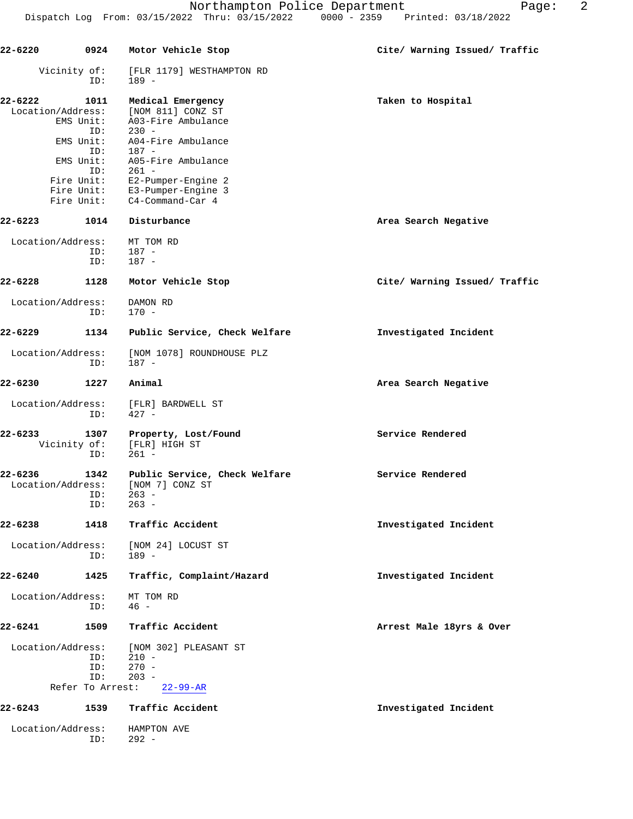| ed: 03/18/2022 |  |
|----------------|--|
|                |  |
|                |  |

| 22-6220           |                  | 0924 Motor Vehicle Stop                           | Cite/ Warning Issued/ Traffic |
|-------------------|------------------|---------------------------------------------------|-------------------------------|
|                   | Vicinity of:     | [FLR 1179] WESTHAMPTON RD                         |                               |
|                   | ID:              | 189 -                                             |                               |
| 22-6222           | 1011             | Medical Emergency                                 | Taken to Hospital             |
| Location/Address: |                  | [NOM 811] CONZ ST                                 |                               |
|                   | EMS Unit:<br>ID: | A03-Fire Ambulance<br>$230 -$                     |                               |
|                   | EMS Unit:        | A04-Fire Ambulance                                |                               |
|                   | ID:              | 187 -                                             |                               |
|                   | EMS Unit:        | A05-Fire Ambulance                                |                               |
|                   | ID:              | 261 -                                             |                               |
|                   | Fire Unit:       | E2-Pumper-Engine 2                                |                               |
|                   | Fire Unit:       | Fire Unit: E3-Pumper-Engine 3<br>C4-Command-Car 4 |                               |
|                   |                  |                                                   |                               |
| 22-6223           | 1014             | Disturbance                                       | Area Search Negative          |
| Location/Address: |                  | MT TOM RD                                         |                               |
|                   | ID:              | 187 -                                             |                               |
|                   | ID:              | 187 -                                             |                               |
| 22-6228           | 1128             | Motor Vehicle Stop                                | Cite/ Warning Issued/ Traffic |
| Location/Address: |                  | DAMON RD                                          |                               |
|                   | ID:              | 170 -                                             |                               |
| $22 - 6229$       | 1134             | Public Service, Check Welfare                     | Investigated Incident         |
| Location/Address: |                  | [NOM 1078] ROUNDHOUSE PLZ                         |                               |
|                   | ID:              | 187 -                                             |                               |
| 22-6230           | 1227             | Animal                                            | Area Search Negative          |
|                   |                  |                                                   |                               |
| Location/Address: | ID:              | [FLR] BARDWELL ST<br>$427 -$                      |                               |
| 22-6233           | 1307             | Property, Lost/Found                              | Service Rendered              |
|                   | Vicinity of:     | [FLR] HIGH ST                                     |                               |
|                   | ID:              | $261 -$                                           |                               |
| 22-6236           | 1342             | Public Service, Check Welfare                     | Service Rendered              |
| Location/Address: |                  | [NOM 7] CONZ ST                                   |                               |
|                   | ID:              | $263 -$                                           |                               |
|                   | ID:              | $263 -$                                           |                               |
| 22-6238           | 1418             | Traffic Accident                                  | Investigated Incident         |
|                   |                  |                                                   |                               |
| Location/Address: | ID:              | [NOM 24] LOCUST ST<br>$189 -$                     |                               |
|                   |                  |                                                   |                               |
| 22-6240           | 1425             | Traffic, Complaint/Hazard                         | Investigated Incident         |
| Location/Address: |                  | MT TOM RD                                         |                               |
|                   | ID:              | $46 -$                                            |                               |
| $22 - 6241$       | 1509             | Traffic Accident                                  | Arrest Male 18yrs & Over      |
| Location/Address: |                  | [NOM 302] PLEASANT ST                             |                               |
|                   | ID:              | $210 -$                                           |                               |
|                   | ID:              | $270 -$                                           |                               |
|                   | ID:              | $203 -$                                           |                               |
|                   | Refer To Arrest: | $22 - 99 - AR$                                    |                               |
| 22-6243           | 1539             | Traffic Accident                                  | Investigated Incident         |
| Location/Address: |                  | HAMPTON AVE                                       |                               |
|                   | ID:              | $292 -$                                           |                               |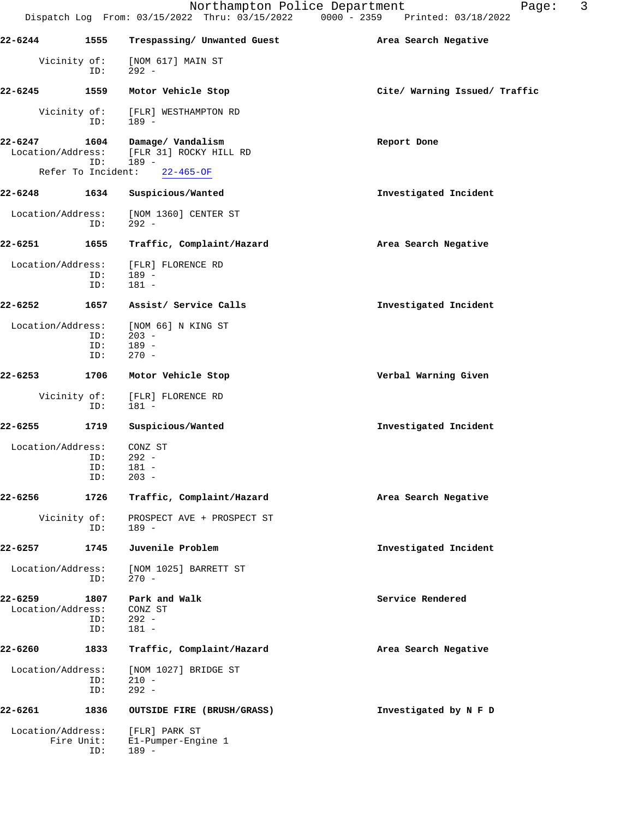|                              |                     | Northampton Police Department<br>Dispatch Log From: 03/15/2022 Thru: 03/15/2022 0000 - 2359 Printed: 03/18/2022 | 3<br>Page:                    |
|------------------------------|---------------------|-----------------------------------------------------------------------------------------------------------------|-------------------------------|
| 22-6244                      | 1555                | Trespassing/ Unwanted Guest                                                                                     | Area Search Negative          |
|                              | Vicinity of:<br>ID: | [NOM 617] MAIN ST<br>$292 -$                                                                                    |                               |
| 22-6245                      | 1559                | Motor Vehicle Stop                                                                                              | Cite/ Warning Issued/ Traffic |
|                              | Vicinity of:<br>ID: | [FLR] WESTHAMPTON RD<br>189 -                                                                                   |                               |
| 22-6247<br>Location/Address: | 1604<br>ID:         | Damage/ Vandalism<br>[FLR 31] ROCKY HILL RD<br>$189 -$                                                          | Report Done                   |
|                              | Refer To Incident:  | $22 - 465 - OF$                                                                                                 |                               |
| 22-6248                      | 1634                | Suspicious/Wanted                                                                                               | Investigated Incident         |
| Location/Address:            | ID:                 | [NOM 1360] CENTER ST<br>$292 -$                                                                                 |                               |
| 22-6251                      | 1655                | Traffic, Complaint/Hazard                                                                                       | Area Search Negative          |
| Location/Address:            | ID:<br>ID:          | [FLR] FLORENCE RD<br>$189 -$<br>$181 -$                                                                         |                               |
| 22-6252                      | 1657                | Assist/ Service Calls                                                                                           | Investigated Incident         |
| Location/Address:            | ID:<br>ID:<br>ID:   | [NOM 66] N KING ST<br>$203 -$<br>$189 -$<br>$270 -$                                                             |                               |
| 22-6253                      | 1706                | Motor Vehicle Stop                                                                                              | Verbal Warning Given          |
|                              | Vicinity of:<br>ID: | [FLR] FLORENCE RD<br>$181 -$                                                                                    |                               |
| 22-6255                      | 1719                | Suspicious/Wanted                                                                                               | Investigated Incident         |
| Location/Address:            | ID:<br>ID:<br>ID:   | CONZ ST<br>$292 -$<br>181 -<br>$203 -$                                                                          |                               |
| 22-6256                      | 1726                | Traffic, Complaint/Hazard                                                                                       | Area Search Negative          |
|                              | Vicinity of:<br>ID: | PROSPECT AVE + PROSPECT ST<br>189 -                                                                             |                               |
| 22-6257                      | 1745                | Juvenile Problem                                                                                                | Investigated Incident         |
| Location/Address:            | ID:                 | [NOM 1025] BARRETT ST<br>$270 -$                                                                                |                               |
| 22-6259<br>Location/Address: | 1807<br>ID:<br>ID:  | Park and Walk<br>CONZ ST<br>$292 -$<br>$181 -$                                                                  | Service Rendered              |
| 22-6260                      | 1833                | Traffic, Complaint/Hazard                                                                                       | Area Search Negative          |
| Location/Address:            | ID:<br>ID:          | [NOM 1027] BRIDGE ST<br>$210 -$<br>$292 -$                                                                      |                               |
| 22-6261                      | 1836                | OUTSIDE FIRE (BRUSH/GRASS)                                                                                      | Investigated by N F D         |
| Location/Address:            | Fire Unit:<br>ID:   | [FLR] PARK ST<br>El-Pumper-Engine 1<br>$189 -$                                                                  |                               |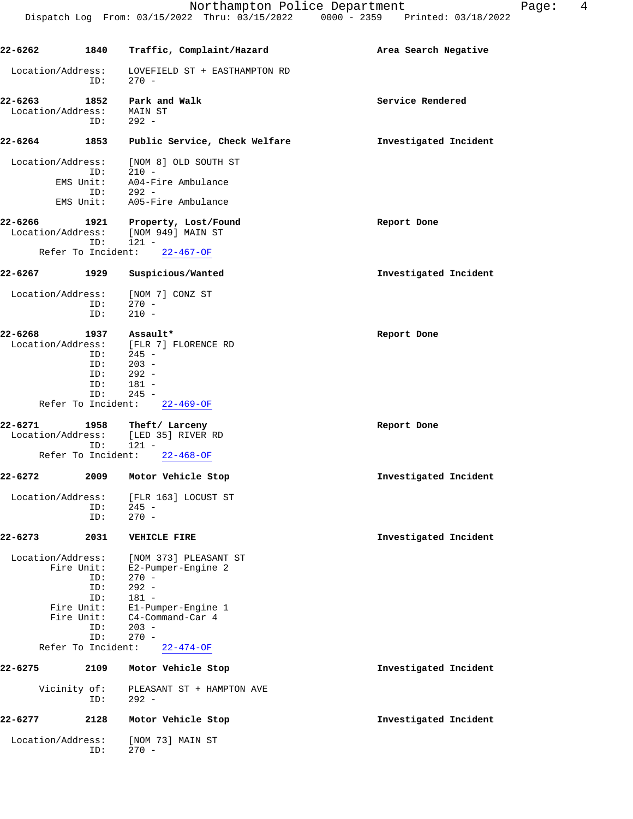| 22-6262                   | 1840                                                                                            | Traffic, Complaint/Hazard                                                                                                                                       | Area Search Negative  |
|---------------------------|-------------------------------------------------------------------------------------------------|-----------------------------------------------------------------------------------------------------------------------------------------------------------------|-----------------------|
| Location/Address:         | ID:                                                                                             | LOVEFIELD ST + EASTHAMPTON RD<br>$270 -$                                                                                                                        |                       |
| Location/Address: MAIN ST | ID:                                                                                             | 22-6263 1852 Park and Walk<br>$292 -$                                                                                                                           | Service Rendered      |
| 22-6264 1853              |                                                                                                 | Public Service, Check Welfare                                                                                                                                   | Investigated Incident |
| Location/Address:         | ID:                                                                                             | [NOM 8] OLD SOUTH ST<br>$210 -$<br>EMS Unit: A04-Fire Ambulance<br>$ID: 292 -$                                                                                  |                       |
|                           |                                                                                                 | EMS Unit: A05-Fire Ambulance                                                                                                                                    |                       |
| Location/Address:         | ID:<br>Refer To Incident:                                                                       | 22-6266 1921 Property, Lost/Found<br>[NOM 949] MAIN ST<br>$121 -$<br>$22 - 467 - OF$                                                                            | Report Done           |
| 22–6267 1929              |                                                                                                 | Suspicious/Wanted                                                                                                                                               | Investigated Incident |
| Location/Address:         | ID:<br>ID:                                                                                      | [NOM 7] CONZ ST<br>$270 -$<br>$210 -$                                                                                                                           |                       |
| 22-6268                   | ID:                                                                                             | 1937 Assault*<br>Location/Address: [FLR 7] FLORENCE RD<br>$ID: 245 -$<br>ID: 203 -<br>$292 -$<br>ID: 181 -<br>$ID: 245 -$<br>Refer To Incident: $22-469-OF$     | Report Done           |
| 22-6271                   | Refer To Incident:                                                                              | 1958 Theft/Larceny<br>Location/Address: [LED 35] RIVER RD<br>$ID: 121 -$<br>$22 - 468 - OF$                                                                     | Report Done           |
|                           |                                                                                                 | 22-6272 2009 Motor Vehicle Stop                                                                                                                                 | Investigated Incident |
| Location/Address:         | ID:<br>ID:                                                                                      | [FLR 163] LOCUST ST<br>$245 -$<br>$270 -$                                                                                                                       |                       |
| 22-6273                   | 2031                                                                                            | <b>VEHICLE FIRE</b>                                                                                                                                             | Investigated Incident |
| Location/Address:         | Fire Unit:<br>ID:<br>ID:<br>ID:<br>Fire Unit:<br>Fire Unit:<br>ID:<br>ID:<br>Refer To Incident: | [NOM 373] PLEASANT ST<br>E2-Pumper-Engine 2<br>$270 -$<br>$292 -$<br>$181 -$<br>E1-Pumper-Engine 1<br>C4-Command-Car 4<br>$203 -$<br>$270 -$<br>$22 - 474 - OF$ |                       |
| 22-6275                   | 2109                                                                                            | Motor Vehicle Stop                                                                                                                                              | Investigated Incident |
|                           | Vicinity of:<br>ID:                                                                             | PLEASANT ST + HAMPTON AVE<br>$292 -$                                                                                                                            |                       |
| 22-6277                   | 2128                                                                                            | Motor Vehicle Stop                                                                                                                                              | Investigated Incident |
| Location/Address:         | ID:                                                                                             | [NOM 73] MAIN ST<br>$270 -$                                                                                                                                     |                       |